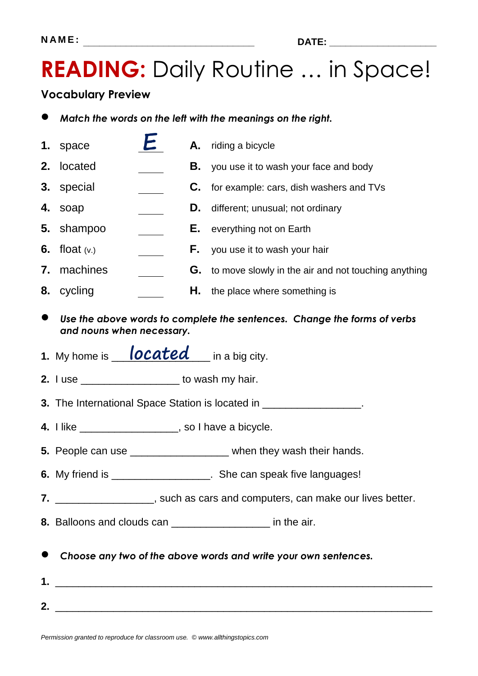### **READING:** Daily Routine … in Space!

### **Vocabulary Preview**

- *Match the words on the left with the meanings on the right.*
- **1.** space **A.** riding a bicycle **2.** located **B.** you use it to wash your face and body **3.** special **C.** for example: cars, dish washers and TVs **4.** soap **D.** different; unusual; not ordinary **5.** shampoo **E.** everything not on Earth **6.** float (v.) **F.** you use it to wash your hair **7.** machines **G.** to move slowly in the air and not touching anything **8.** cycling **H.** the place where something is
- *Use the above words to complete the sentences. Change the forms of verbs and nouns when necessary.*
- **1.** My home is **located** in a big city.
- **2.** I use \_\_\_\_\_\_\_\_\_\_\_\_\_\_\_\_\_ to wash my hair.
- **3.** The International Space Station is located in \_\_\_\_\_\_\_\_\_\_\_\_\_\_\_\_\_\_.
- **4.** I like \_\_\_\_\_\_\_\_\_\_\_\_\_\_\_\_\_, so I have a bicycle.
- **5.** People can use \_\_\_\_\_\_\_\_\_\_\_\_\_\_\_\_\_\_\_ when they wash their hands.
- **6.** My friend is **6.** My friend is **6.** She can speak five languages!
- **7.** \_\_\_\_\_\_\_\_\_\_\_\_\_\_\_\_\_, such as cars and computers, can make our lives better.
- **8.** Balloons and clouds can **Example 20. Balloons** and clouds can
- *Choose any two of the above words and write your own sentences.*
- **1.** \_\_\_\_\_\_\_\_\_\_\_\_\_\_\_\_\_\_\_\_\_\_\_\_\_\_\_\_\_\_\_\_\_\_\_\_\_\_\_\_\_\_\_\_\_\_\_\_\_\_\_\_\_\_\_\_\_\_\_\_\_\_\_\_\_ **2.** \_\_\_\_\_\_\_\_\_\_\_\_\_\_\_\_\_\_\_\_\_\_\_\_\_\_\_\_\_\_\_\_\_\_\_\_\_\_\_\_\_\_\_\_\_\_\_\_\_\_\_\_\_\_\_\_\_\_\_\_\_\_\_\_\_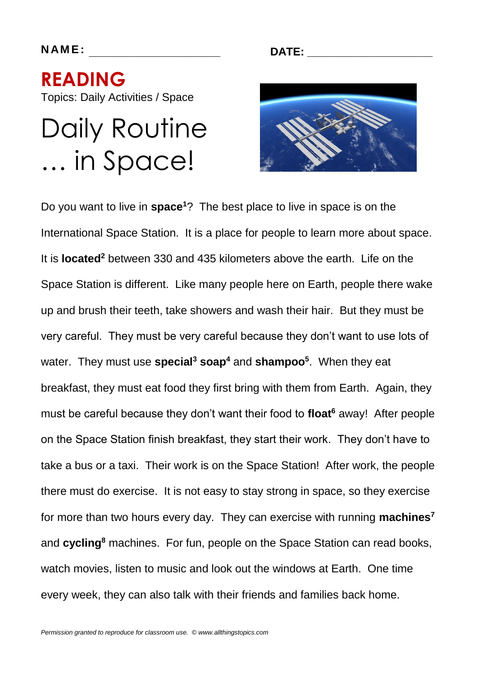### **N AM E : \_\_\_\_\_\_\_\_\_\_\_\_\_\_\_\_\_\_\_\_\_ DATE: \_\_\_\_\_\_\_\_\_\_\_\_\_\_\_\_\_\_\_\_**

**READING**  Topics: Daily Activities / Space

# Daily Routine … in Space!



Do you want to live in **space<sup>1</sup>**? The best place to live in space is on the International Space Station. It is a place for people to learn more about space. It is **located<sup>2</sup>** between 330 and 435 kilometers above the earth. Life on the Space Station is different. Like many people here on Earth, people there wake up and brush their teeth, take showers and wash their hair. But they must be very careful. They must be very careful because they don't want to use lots of water. They must use **special<sup>3</sup> soap<sup>4</sup>** and **shampoo<sup>5</sup>** . When they eat breakfast, they must eat food they first bring with them from Earth. Again, they must be careful because they don't want their food to **float<sup>6</sup>** away! After people on the Space Station finish breakfast, they start their work. They don't have to take a bus or a taxi. Their work is on the Space Station! After work, the people there must do exercise. It is not easy to stay strong in space, so they exercise for more than two hours every day. They can exercise with running **machines<sup>7</sup>** and **cycling<sup>8</sup>** machines. For fun, people on the Space Station can read books, watch movies, listen to music and look out the windows at Earth. One time every week, they can also talk with their friends and families back home.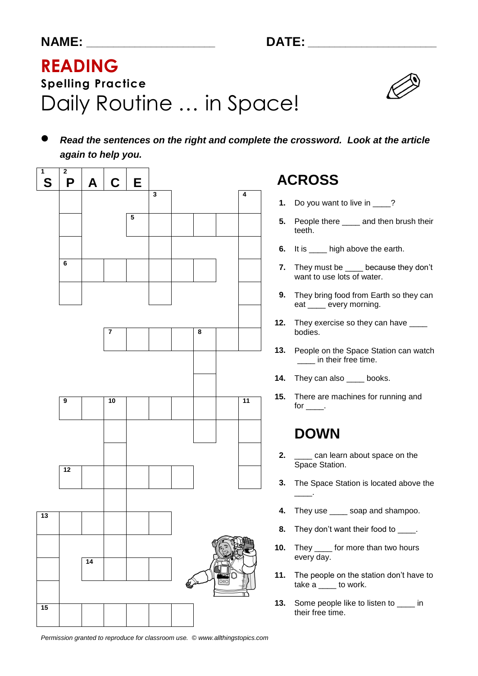**NAME: \_\_\_\_\_\_\_\_\_\_\_\_\_\_\_\_\_\_\_\_\_\_\_\_ DATE: \_\_\_\_\_\_\_\_\_\_\_\_\_\_\_\_\_\_\_\_\_\_\_\_**

### **READING Spelling Practice**  Daily Routine … in Space!



 *Read the sentences on the right and complete the crossword. Look at the article again to help you.*



*Permission granted to reproduce for classroom use. © www.allthingstopics.com*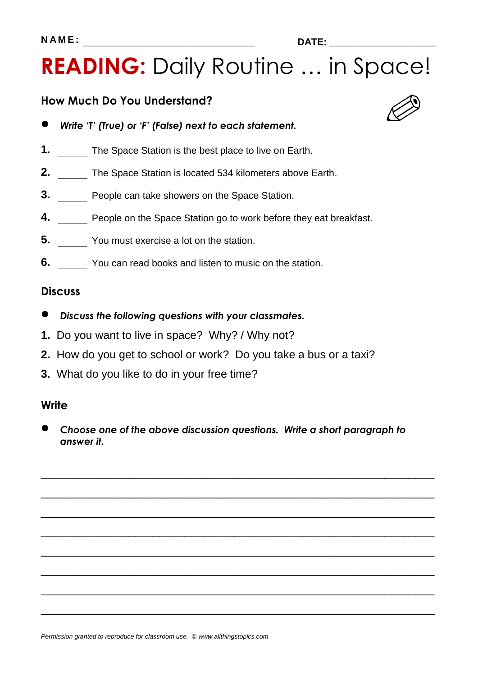## **READING:** Daily Routine … in Space!

### **How Much Do You Understand?**

- *Write 'T' (True) or 'F' (False) next to each statement.*
- **1.** The Space Station is the best place to live on Earth.
- **2.** The Space Station is located 534 kilometers above Earth.
- **3.** People can take showers on the Space Station.
- **4.** People on the Space Station go to work before they eat breakfast.
- **5.** You must exercise a lot on the station.
- **6.** You can read books and listen to music on the station.

#### **Discuss**

- *Discuss the following questions with your classmates.*
- **1.** Do you want to live in space? Why? / Why not?
- **2.** How do you get to school or work? Do you take a bus or a taxi?
- **3.** What do you like to do in your free time?

#### **Write**

 *Choose one of the above discussion questions. Write a short paragraph to answer it.*

\_\_\_\_\_\_\_\_\_\_\_\_\_\_\_\_\_\_\_\_\_\_\_\_\_\_\_\_\_\_\_\_\_\_\_\_\_\_\_\_\_\_\_\_\_\_\_\_\_\_\_\_\_\_\_\_\_\_\_\_\_\_\_

\_\_\_\_\_\_\_\_\_\_\_\_\_\_\_\_\_\_\_\_\_\_\_\_\_\_\_\_\_\_\_\_\_\_\_\_\_\_\_\_\_\_\_\_\_\_\_\_\_\_\_\_\_\_\_\_\_\_\_\_\_\_\_

\_\_\_\_\_\_\_\_\_\_\_\_\_\_\_\_\_\_\_\_\_\_\_\_\_\_\_\_\_\_\_\_\_\_\_\_\_\_\_\_\_\_\_\_\_\_\_\_\_\_\_\_\_\_\_\_\_\_\_\_\_\_\_

\_\_\_\_\_\_\_\_\_\_\_\_\_\_\_\_\_\_\_\_\_\_\_\_\_\_\_\_\_\_\_\_\_\_\_\_\_\_\_\_\_\_\_\_\_\_\_\_\_\_\_\_\_\_\_\_\_\_\_\_\_\_\_

\_\_\_\_\_\_\_\_\_\_\_\_\_\_\_\_\_\_\_\_\_\_\_\_\_\_\_\_\_\_\_\_\_\_\_\_\_\_\_\_\_\_\_\_\_\_\_\_\_\_\_\_\_\_\_\_\_\_\_\_\_\_\_

\_\_\_\_\_\_\_\_\_\_\_\_\_\_\_\_\_\_\_\_\_\_\_\_\_\_\_\_\_\_\_\_\_\_\_\_\_\_\_\_\_\_\_\_\_\_\_\_\_\_\_\_\_\_\_\_\_\_\_\_\_\_\_

\_\_\_\_\_\_\_\_\_\_\_\_\_\_\_\_\_\_\_\_\_\_\_\_\_\_\_\_\_\_\_\_\_\_\_\_\_\_\_\_\_\_\_\_\_\_\_\_\_\_\_\_\_\_\_\_\_\_\_\_\_\_\_

\_\_\_\_\_\_\_\_\_\_\_\_\_\_\_\_\_\_\_\_\_\_\_\_\_\_\_\_\_\_\_\_\_\_\_\_\_\_\_\_\_\_\_\_\_\_\_\_\_\_\_\_\_\_\_\_\_\_\_\_\_\_\_